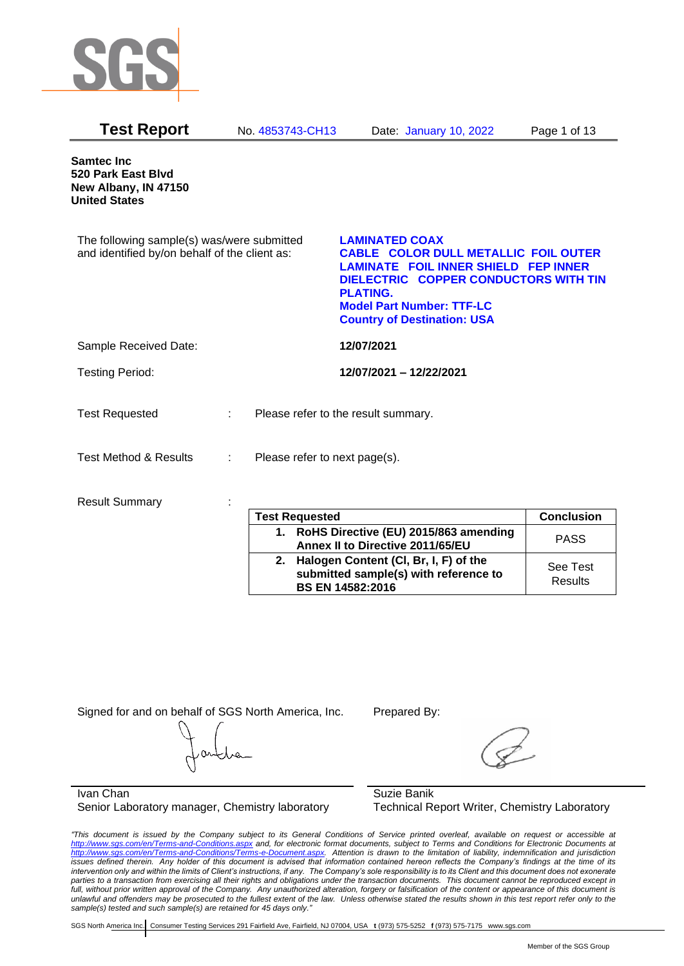

| <b>Test Report</b>                                                                          |                           | No. 4853743-CH13              | Date: January 10, 2022                                                                                                                                                                                                                                    | Page 1 of 13      |
|---------------------------------------------------------------------------------------------|---------------------------|-------------------------------|-----------------------------------------------------------------------------------------------------------------------------------------------------------------------------------------------------------------------------------------------------------|-------------------|
| <b>Samtec Inc</b><br>520 Park East Blvd<br>New Albany, IN 47150<br><b>United States</b>     |                           |                               |                                                                                                                                                                                                                                                           |                   |
| The following sample(s) was/were submitted<br>and identified by/on behalf of the client as: |                           |                               | <b>LAMINATED COAX</b><br><b>CABLE COLOR DULL METALLIC FOIL OUTER</b><br><b>LAMINATE FOIL INNER SHIELD FEP INNER</b><br>DIELECTRIC COPPER CONDUCTORS WITH TIN<br><b>PLATING.</b><br><b>Model Part Number: TTF-LC</b><br><b>Country of Destination: USA</b> |                   |
| Sample Received Date:                                                                       |                           |                               | 12/07/2021                                                                                                                                                                                                                                                |                   |
| <b>Testing Period:</b>                                                                      |                           |                               | 12/07/2021 - 12/22/2021                                                                                                                                                                                                                                   |                   |
| <b>Test Requested</b>                                                                       | $\mathbb{R}^{\mathbb{Z}}$ |                               | Please refer to the result summary.                                                                                                                                                                                                                       |                   |
| <b>Test Method &amp; Results</b>                                                            | ÷                         | Please refer to next page(s). |                                                                                                                                                                                                                                                           |                   |
| <b>Result Summary</b>                                                                       |                           | <b>Test Requested</b>         |                                                                                                                                                                                                                                                           | <b>Conclusion</b> |

| <b>Test Requested</b>                                                                                           | <b>Conclusion</b>   |
|-----------------------------------------------------------------------------------------------------------------|---------------------|
| 1. RoHS Directive (EU) 2015/863 amending<br>Annex II to Directive 2011/65/EU                                    | <b>PASS</b>         |
| Halogen Content (CI, Br, I, F) of the<br>2.<br>submitted sample(s) with reference to<br><b>BS EN 14582:2016</b> | See Test<br>Results |

Signed for and on behalf of SGS North America, Inc. Prepared By:

Ivan Chan Senior Laboratory manager, Chemistry laboratory

Suzie Banik Technical Report Writer, Chemistry Laboratory

*"This document is issued by the Company subject to its General Conditions of Service printed overleaf, available on request or accessible at <http://www.sgs.com/en/Terms-and-Conditions.aspx> and, for electronic format documents, subject to Terms and Conditions for Electronic Documents at [http://www.sgs.com/en/Terms-and-Conditions/Terms-e-Document.aspx.](http://www.sgs.com/en/Terms-and-Conditions/Terms-e-Document.aspx) Attention is drawn to the limitation of liability, indemnification and jurisdiction issues defined therein. Any holder of this document is advised that information contained hereon reflects the Company's findings at the time of its intervention only and within the limits of Client's instructions, if any. The Company's sole responsibility is to its Client and this document does not exonerate parties to a transaction from exercising all their rights and obligations under the transaction documents. This document cannot be reproduced except in full, without prior written approval of the Company. Any unauthorized alteration, forgery or falsification of the content or appearance of this document is unlawful and offenders may be prosecuted to the fullest extent of the law. Unless otherwise stated the results shown in this test report refer only to the sample(s) tested and such sample(s) are retained for 45 days only."*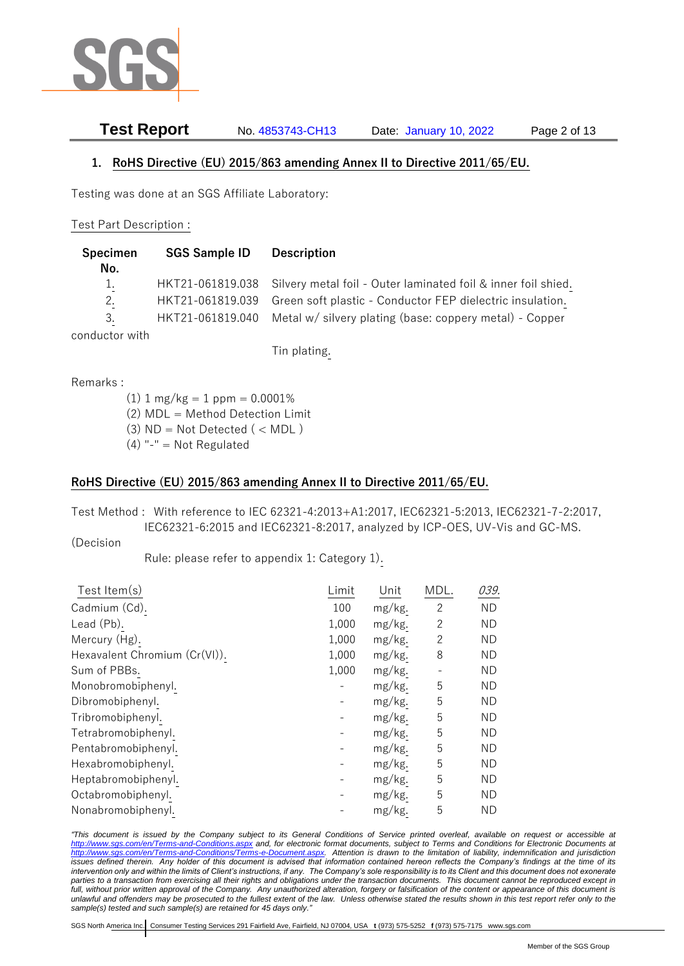

**Test Report** No. 4853743-CH13 Date: January 10, 2022 Page 2 of 13

### **1. RoHS Directive (EU) 2015/863 amending Annex II to Directive 2011/65/EU.**

Testing was done at an SGS Affiliate Laboratory:

#### Test Part Description :

| <b>Specimen</b><br>No. | <b>SGS Sample ID</b> | <b>Description</b>                                                                                                                          |
|------------------------|----------------------|---------------------------------------------------------------------------------------------------------------------------------------------|
| 1.<br>2.               | HKT21-061819.039     | HKT21-061819.038 Silvery metal foil - Outer laminated foil & inner foil shied.<br>Green soft plastic - Conductor FEP dielectric insulation. |
| 3.<br>conductor with   | HKT21-061819.040     | Metal w/ silvery plating (base: coppery metal) - Copper                                                                                     |

Tin plating.

Remarks :

 $(1)$  1 mg/kg = 1 ppm = 0.0001% (2) MDL = Method Detection Limit (3)  $ND = Not detected$  ( < MDL)  $(4)$  "-" = Not Regulated

### **RoHS Directive (EU) 2015/863 amending Annex II to Directive 2011/65/EU.**

Test Method : With reference to IEC 62321-4:2013+A1:2017, IEC62321-5:2013, IEC62321-7-2:2017, IEC62321-6:2015 and IEC62321-8:2017, analyzed by ICP-OES, UV-Vis and GC-MS.

(Decision

Rule: please refer to appendix 1: Category 1).

| Limit | Unit   | MDL.           | 039.      |
|-------|--------|----------------|-----------|
| 100   | mg/kg. | $\overline{2}$ | <b>ND</b> |
| 1,000 | mg/kg. | $\overline{c}$ | <b>ND</b> |
| 1,000 | mg/kg. | 2              | <b>ND</b> |
| 1,000 | mg/kg. | 8              | <b>ND</b> |
| 1,000 | mg/kg. |                | <b>ND</b> |
|       | mg/kg. | 5              | <b>ND</b> |
|       | mg/kg. | 5              | <b>ND</b> |
|       | mg/kg. | 5              | <b>ND</b> |
|       | mg/kg. | 5              | <b>ND</b> |
|       | mg/kg. | 5              | <b>ND</b> |
|       | mg/kg. | 5              | <b>ND</b> |
|       | mg/kg. | 5              | <b>ND</b> |
|       | mg/kg. | 5              | <b>ND</b> |
|       | mg/kg. | 5              | <b>ND</b> |
|       |        |                |           |

*"This document is issued by the Company subject to its General Conditions of Service printed overleaf, available on request or accessible at <http://www.sgs.com/en/Terms-and-Conditions.aspx> and, for electronic format documents, subject to Terms and Conditions for Electronic Documents at [http://www.sgs.com/en/Terms-and-Conditions/Terms-e-Document.aspx.](http://www.sgs.com/en/Terms-and-Conditions/Terms-e-Document.aspx) Attention is drawn to the limitation of liability, indemnification and jurisdiction issues defined therein. Any holder of this document is advised that information contained hereon reflects the Company's findings at the time of its intervention only and within the limits of Client's instructions, if any. The Company's sole responsibility is to its Client and this document does not exonerate*  parties to a transaction from exercising all their rights and obligations under the transaction documents. This document cannot be reproduced except in *full, without prior written approval of the Company. Any unauthorized alteration, forgery or falsification of the content or appearance of this document is unlawful and offenders may be prosecuted to the fullest extent of the law. Unless otherwise stated the results shown in this test report refer only to the sample(s) tested and such sample(s) are retained for 45 days only."*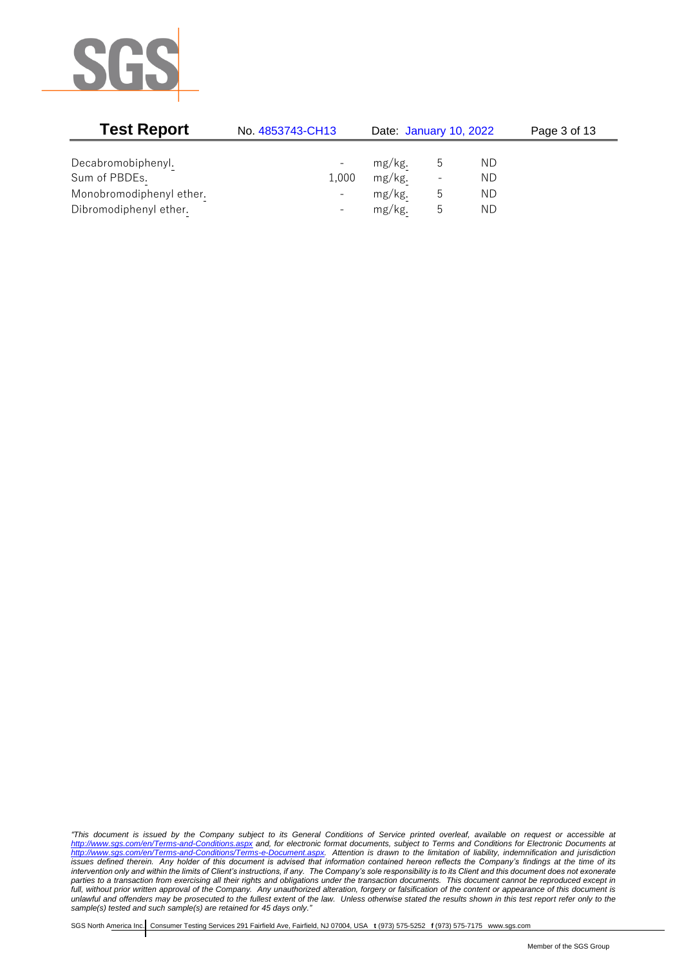

| <b>Test Report</b>       | No. 4853743-CH13         | Date: January 10, 2022 |                          |     | Page 3 of 13 |
|--------------------------|--------------------------|------------------------|--------------------------|-----|--------------|
|                          |                          |                        |                          |     |              |
| Decabromobiphenyl.       |                          | mg/kg.                 |                          | ND. |              |
| Sum of PBDEs.            | 1,000                    | mg/kg.                 | $\overline{\phantom{a}}$ | ND  |              |
| Monobromodiphenyl ether. | $\overline{\phantom{0}}$ | mg/kg.                 | b                        | ND. |              |
| Dibromodiphenyl ether.   |                          | mg/kg.                 | C                        | ND  |              |

*"This document is issued by the Company subject to its General Conditions of Service printed overleaf, available on request or accessible at <http://www.sgs.com/en/Terms-and-Conditions.aspx> and, for electronic format documents, subject to Terms and Conditions for Electronic Documents at [http://www.sgs.com/en/Terms-and-Conditions/Terms-e-Document.aspx.](http://www.sgs.com/en/Terms-and-Conditions/Terms-e-Document.aspx) Attention is drawn to the limitation of liability, indemnification and jurisdiction issues defined therein. Any holder of this document is advised that information contained hereon reflects the Company's findings at the time of its intervention only and within the limits of Client's instructions, if any. The Company's sole responsibility is to its Client and this document does not exonerate parties to a transaction from exercising all their rights and obligations under the transaction documents. This document cannot be reproduced except in full, without prior written approval of the Company. Any unauthorized alteration, forgery or falsification of the content or appearance of this document is unlawful and offenders may be prosecuted to the fullest extent of the law. Unless otherwise stated the results shown in this test report refer only to the sample(s) tested and such sample(s) are retained for 45 days only."*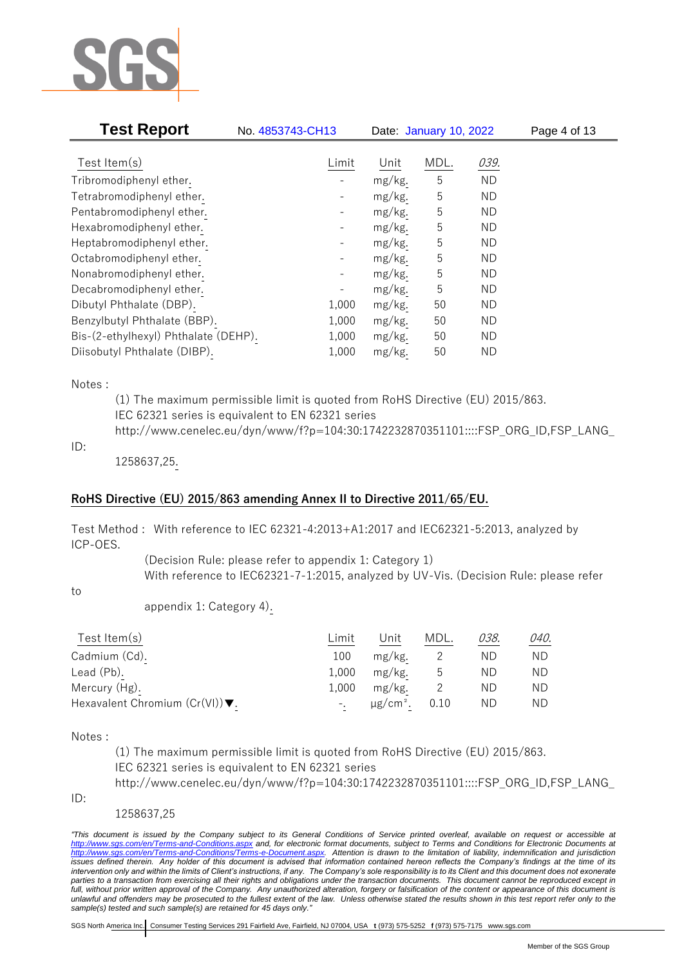

| <b>Test Report</b>                   | No. 4853743-CH13         |        | Date: January 10, 2022 |           | Page 4 of 13 |
|--------------------------------------|--------------------------|--------|------------------------|-----------|--------------|
| Test Item $(s)$                      | Limit                    | Unit   | MDL.                   | 039.      |              |
| Tribromodiphenyl ether.              |                          | mg/kg. | 5                      | <b>ND</b> |              |
| Tetrabromodiphenyl ether.            |                          | mg/kg. | 5                      | ND.       |              |
| Pentabromodiphenyl ether.            |                          | mg/kg. | 5                      | ND.       |              |
| Hexabromodiphenyl ether.             |                          | mg/kg. | 5                      | ND.       |              |
| Heptabromodiphenyl ether.            | $\overline{\phantom{a}}$ | mg/kg. | 5                      | ND.       |              |
| Octabromodiphenyl ether.             | $\overline{\phantom{a}}$ | mg/kg. | 5                      | ND.       |              |
| Nonabromodiphenyl ether.             | $\overline{\phantom{a}}$ | mg/kg. | 5                      | ND.       |              |
| Decabromodiphenyl ether.             |                          | mg/kg. | 5                      | ND.       |              |
| Dibutyl Phthalate (DBP).             | 1,000                    | mg/kg. | 50                     | ND        |              |
| Benzylbutyl Phthalate (BBP).         | 1,000                    | mg/kg. | 50                     | <b>ND</b> |              |
| Bis-(2-ethylhexyl) Phthalate (DEHP). | 1,000                    | mg/kg. | 50                     | ND.       |              |
| Diisobutyl Phthalate (DIBP).         | 1,000                    | mg/kg. | 50                     | ND        |              |

#### Notes :

(1) The maximum permissible limit is quoted from RoHS Directive (EU) 2015/863. IEC 62321 series is equivalent to EN 62321 series http://www.cenelec.eu/dyn/www/f?p=104:30:1742232870351101::::FSP\_ORG\_ID,FSP\_LANG\_

#### ID:

1258637,25.

#### **RoHS Directive (EU) 2015/863 amending Annex II to Directive 2011/65/EU.**

Test Method : With reference to IEC 62321-4:2013+A1:2017 and IEC62321-5:2013, analyzed by ICP-OES.

> (Decision Rule: please refer to appendix 1: Category 1) With reference to IEC62321-7-1:2015, analyzed by UV-Vis. (Decision Rule: please refer

to

appendix 1: Category 4).

| Test Item $(s)$                                    | Limit | Unit      | MDL. | 038. | 040. |
|----------------------------------------------------|-------|-----------|------|------|------|
| Cadmium (Cd).                                      | 100   | mg/kg.    |      | ΝD   | ND.  |
| Lead (Pb).                                         | 1,000 | $mg/kg$ . | ხ    | ND   | ND.  |
| Mercury (Hg).                                      | 1.000 | mg/kg.    |      | ND   | ND.  |
| Hexavalent Chromium $(Cr(VI))\blacktriangledown$ . |       | μg/cm².   | 0.10 | ND.  | ND.  |

Notes :

(1) The maximum permissible limit is quoted from RoHS Directive (EU) 2015/863. IEC 62321 series is equivalent to EN 62321 series

http://www.cenelec.eu/dyn/www/f?p=104:30:1742232870351101::::FSP\_ORG\_ID,FSP\_LANG\_

ID:

1258637,25

*"This document is issued by the Company subject to its General Conditions of Service printed overleaf, available on request or accessible at <http://www.sgs.com/en/Terms-and-Conditions.aspx> and, for electronic format documents, subject to Terms and Conditions for Electronic Documents at [http://www.sgs.com/en/Terms-and-Conditions/Terms-e-Document.aspx.](http://www.sgs.com/en/Terms-and-Conditions/Terms-e-Document.aspx) Attention is drawn to the limitation of liability, indemnification and jurisdiction issues defined therein. Any holder of this document is advised that information contained hereon reflects the Company's findings at the time of its intervention only and within the limits of Client's instructions, if any. The Company's sole responsibility is to its Client and this document does not exonerate*  parties to a transaction from exercising all their rights and obligations under the transaction documents. This document cannot be reproduced except in *full, without prior written approval of the Company. Any unauthorized alteration, forgery or falsification of the content or appearance of this document is unlawful and offenders may be prosecuted to the fullest extent of the law. Unless otherwise stated the results shown in this test report refer only to the sample(s) tested and such sample(s) are retained for 45 days only."*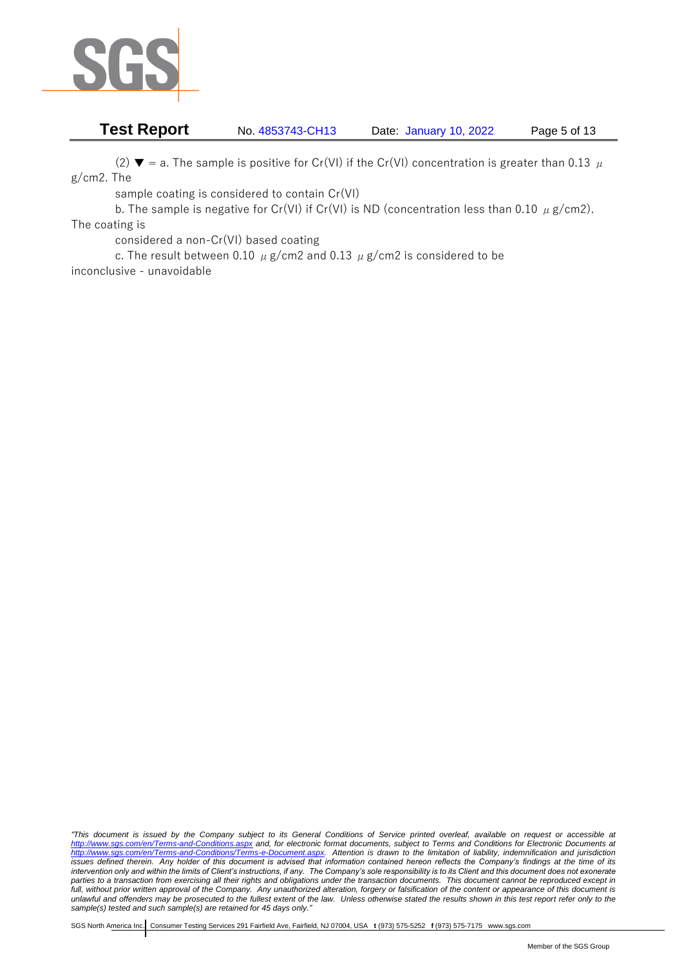

# **Test Report** No. 4853743-CH13 Date: January 10, 2022 Page 5 of 13

(2)  $\blacktriangledown$  = a. The sample is positive for Cr(VI) if the Cr(VI) concentration is greater than 0.13  $\mu$ g/cm2. The

sample coating is considered to contain Cr(VI)

b. The sample is negative for Cr(VI) if Cr(VI) is ND (concentration less than 0.10  $\mu$  g/cm2). The coating is

considered a non-Cr(VI) based coating

c. The result between 0.10  $\mu$  g/cm2 and 0.13  $\mu$  g/cm2 is considered to be inconclusive - unavoidable

*"This document is issued by the Company subject to its General Conditions of Service printed overleaf, available on request or accessible at <http://www.sgs.com/en/Terms-and-Conditions.aspx> and, for electronic format documents, subject to Terms and Conditions for Electronic Documents at [http://www.sgs.com/en/Terms-and-Conditions/Terms-e-Document.aspx.](http://www.sgs.com/en/Terms-and-Conditions/Terms-e-Document.aspx) Attention is drawn to the limitation of liability, indemnification and jurisdiction issues defined therein. Any holder of this document is advised that information contained hereon reflects the Company's findings at the time of its intervention only and within the limits of Client's instructions, if any. The Company's sole responsibility is to its Client and this document does not exonerate parties to a transaction from exercising all their rights and obligations under the transaction documents. This document cannot be reproduced except in full, without prior written approval of the Company. Any unauthorized alteration, forgery or falsification of the content or appearance of this document is unlawful and offenders may be prosecuted to the fullest extent of the law. Unless otherwise stated the results shown in this test report refer only to the sample(s) tested and such sample(s) are retained for 45 days only."*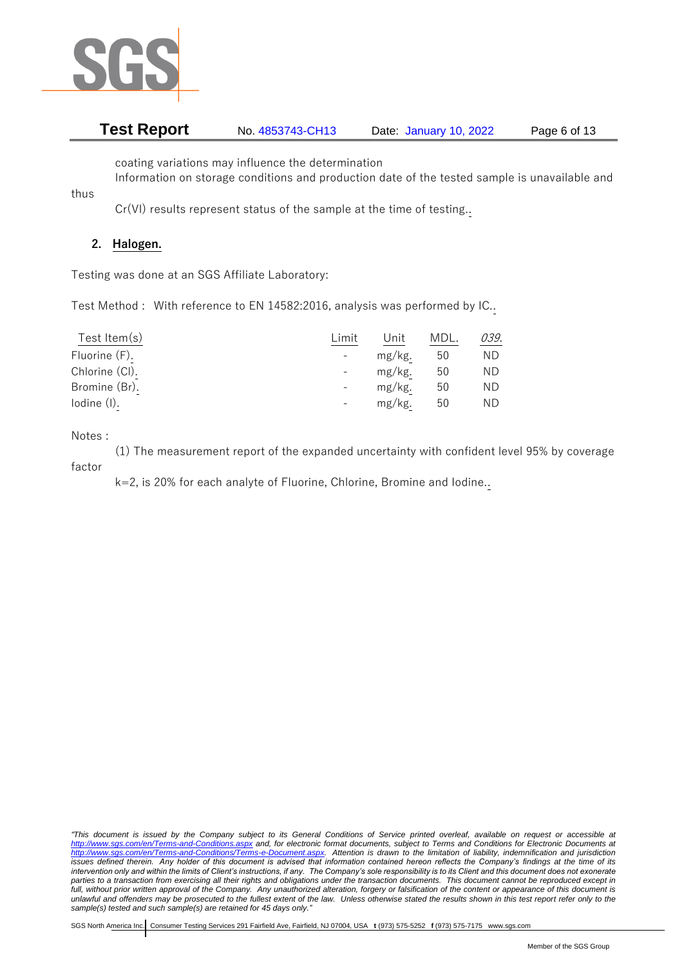

# **Test Report** No. 4853743-CH13 Date: January 10, 2022 Page 6 of 13

coating variations may influence the determination

Information on storage conditions and production date of the tested sample is unavailable and

Cr(VI) results represent status of the sample at the time of testing..

## **2. Halogen.**

thus

Testing was done at an SGS Affiliate Laboratory:

Test Method : With reference to EN 14582:2016, analysis was performed by IC..

| Test Item $(s)$ | Limit | Unit   | MDL | 039. |
|-----------------|-------|--------|-----|------|
| Fluorine (F).   | $-$   | mg/kg. | 50  | ND   |
| Chlorine (CI).  |       | mg/kg. | 50  | ΝD   |
| Bromine (Br).   |       | mg/kg. | 50  | ΝD   |
| $Iodine$ $(I).$ |       | mg/kg. | 50  | ΝD   |

Notes :

(1) The measurement report of the expanded uncertainty with confident level 95% by coverage factor

k=2, is 20% for each analyte of Fluorine, Chlorine, Bromine and Iodine..

*"This document is issued by the Company subject to its General Conditions of Service printed overleaf, available on request or accessible at <http://www.sgs.com/en/Terms-and-Conditions.aspx> and, for electronic format documents, subject to Terms and Conditions for Electronic Documents at [http://www.sgs.com/en/Terms-and-Conditions/Terms-e-Document.aspx.](http://www.sgs.com/en/Terms-and-Conditions/Terms-e-Document.aspx) Attention is drawn to the limitation of liability, indemnification and jurisdiction issues defined therein. Any holder of this document is advised that information contained hereon reflects the Company's findings at the time of its intervention only and within the limits of Client's instructions, if any. The Company's sole responsibility is to its Client and this document does not exonerate*  parties to a transaction from exercising all their rights and obligations under the transaction documents. This document cannot be reproduced except in *full, without prior written approval of the Company. Any unauthorized alteration, forgery or falsification of the content or appearance of this document is unlawful and offenders may be prosecuted to the fullest extent of the law. Unless otherwise stated the results shown in this test report refer only to the sample(s) tested and such sample(s) are retained for 45 days only."*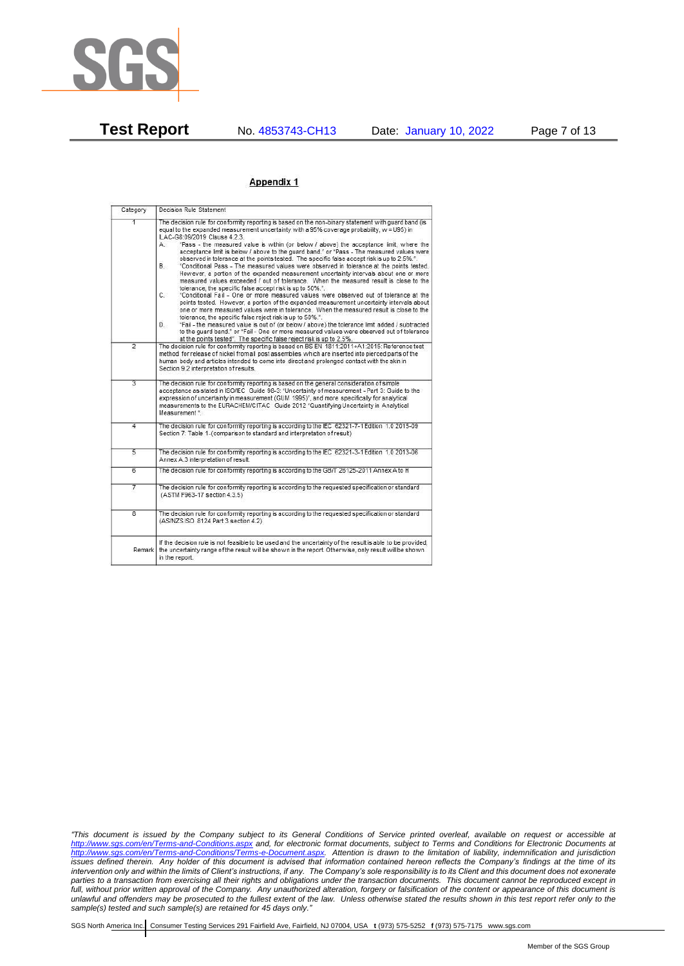

**Test Report** No. 4853743-CH13 Date: January 10, 2022 Page 7 of 13

#### Appendix 1

| Category       | Decision Rule Statement                                                                                                                                                                                                                                                                                                                                                                                                                                                                                                                                                                                                                                                                                                                                                                                                                                                                                                                                                                                                                                                                                                                                                                                                                                                                                                                                                                                                                                                                                                    |
|----------------|----------------------------------------------------------------------------------------------------------------------------------------------------------------------------------------------------------------------------------------------------------------------------------------------------------------------------------------------------------------------------------------------------------------------------------------------------------------------------------------------------------------------------------------------------------------------------------------------------------------------------------------------------------------------------------------------------------------------------------------------------------------------------------------------------------------------------------------------------------------------------------------------------------------------------------------------------------------------------------------------------------------------------------------------------------------------------------------------------------------------------------------------------------------------------------------------------------------------------------------------------------------------------------------------------------------------------------------------------------------------------------------------------------------------------------------------------------------------------------------------------------------------------|
| 1              | The decision rule for conformity reporting is based on the non-binary statement with quard band (is<br>equal to the expanded measurement uncertainty with a 95% coverage probability, w = U95) in<br>ILAC-G8:09/2019 Clause 4.2.3.<br>"Pass - the measured value is within (or below / above) the acceptance limit, where the<br>А.<br>acceptance limit is below / above to the quard band." or "Pass - The measured values were<br>observed in tolerance at the points tested. The specific false accept risk is up to 2.5%.".<br><b>B</b> .<br>"Conditional Pass - The measured values were observed in tolerance at the points tested.<br>However, a portion of the expanded measurement uncertainty intervals about one or more<br>measured values exceeded / out of tolerance. When the measured result is close to the<br>tolerance, the specific false accept risk is up to 50%.".<br>C.<br>"Conditional Fail - One or more measured values were observed out of tolerance at the<br>points tested. However, a portion of the expanded measurement uncertainty intervals about<br>one or more measured values were in tolerance. When the measured result is close to the<br>tolerance, the specific false reject risk is up to 50%.".<br>"Fail - the measured value is out of (or below / above) the tolerance limit added / subtracted<br>D.<br>to the quard band." or "Fail - One or more measured values were observed out of tolerance<br>at the points tested". The specific false reject risk is up to 2.5%. |
| $\overline{2}$ | The decision rule for conformity reporting is based on BS EN 1811:2011+A1:2015: Reference test<br>method for release of nickel from all post assemblies which are inserted into pierced parts of the<br>human body and articles intended to come into direct and prolonged contact with the skin in<br>Section 9.2 interpretation of results.                                                                                                                                                                                                                                                                                                                                                                                                                                                                                                                                                                                                                                                                                                                                                                                                                                                                                                                                                                                                                                                                                                                                                                              |
| $\overline{3}$ | The decision rule for conformity reporting is based on the general consideration of simple<br>acceptance as stated in ISO/IEC Guide 98-3: "Uncertainty of measurement - Part 3: Guide to the<br>expression of uncertainty in measurement (GUM 1995)", and more specifically for analytical<br>measurements to the EURACHEM/CITAC Guide 2012 "Quantifying Uncertainty in Analytical<br>Measurement *                                                                                                                                                                                                                                                                                                                                                                                                                                                                                                                                                                                                                                                                                                                                                                                                                                                                                                                                                                                                                                                                                                                        |
| 4              | The decision rule for conformity reporting is according to the IEC 62321-7-1 Edition 1.0 2015-09<br>Section 7: Table 1-(comparison to standard and interpretation of result)                                                                                                                                                                                                                                                                                                                                                                                                                                                                                                                                                                                                                                                                                                                                                                                                                                                                                                                                                                                                                                                                                                                                                                                                                                                                                                                                               |
| $\overline{5}$ | The decision rule for conformity reporting is according to the IEC 62321-3-1 Edition 1.0 2013-06<br>Annex A.3 interpretation of result.                                                                                                                                                                                                                                                                                                                                                                                                                                                                                                                                                                                                                                                                                                                                                                                                                                                                                                                                                                                                                                                                                                                                                                                                                                                                                                                                                                                    |
| $\overline{6}$ | The decision rule for conformity reporting is according to the GB/T 26125-2011 Annex A to H                                                                                                                                                                                                                                                                                                                                                                                                                                                                                                                                                                                                                                                                                                                                                                                                                                                                                                                                                                                                                                                                                                                                                                                                                                                                                                                                                                                                                                |
| 7              | The decision rule for conformity reporting is according to the requested specification or standard<br>(ASTM F963-17 section 4.3.5)                                                                                                                                                                                                                                                                                                                                                                                                                                                                                                                                                                                                                                                                                                                                                                                                                                                                                                                                                                                                                                                                                                                                                                                                                                                                                                                                                                                         |
| $\overline{8}$ | The decision rule for conformity reporting is according to the requested specification or standard<br>(AS/NZS ISO 8124 Part 3 section 4.2)                                                                                                                                                                                                                                                                                                                                                                                                                                                                                                                                                                                                                                                                                                                                                                                                                                                                                                                                                                                                                                                                                                                                                                                                                                                                                                                                                                                 |
|                | If the decision rule is not feasible to be used and the uncertainty of the result is able to be provided,<br>Remark the uncertainty range of the result will be shown in the report. Otherwise, only result will be shown<br>in the report.                                                                                                                                                                                                                                                                                                                                                                                                                                                                                                                                                                                                                                                                                                                                                                                                                                                                                                                                                                                                                                                                                                                                                                                                                                                                                |

*"This document is issued by the Company subject to its General Conditions of Service printed overleaf, available on request or accessible at <http://www.sgs.com/en/Terms-and-Conditions.aspx> and, for electronic format documents, subject to Terms and Conditions for Electronic Documents at [http://www.sgs.com/en/Terms-and-Conditions/Terms-e-Document.aspx.](http://www.sgs.com/en/Terms-and-Conditions/Terms-e-Document.aspx) Attention is drawn to the limitation of liability, indemnification and jurisdiction issues defined therein. Any holder of this document is advised that information contained hereon reflects the Company's findings at the time of its intervention only and within the limits of Client's instructions, if any. The Company's sole responsibility is to its Client and this document does not exonerate parties to a transaction from exercising all their rights and obligations under the transaction documents. This document cannot be reproduced except in full, without prior written approval of the Company. Any unauthorized alteration, forgery or falsification of the content or appearance of this document is unlawful and offenders may be prosecuted to the fullest extent of the law. Unless otherwise stated the results shown in this test report refer only to the sample(s) tested and such sample(s) are retained for 45 days only."*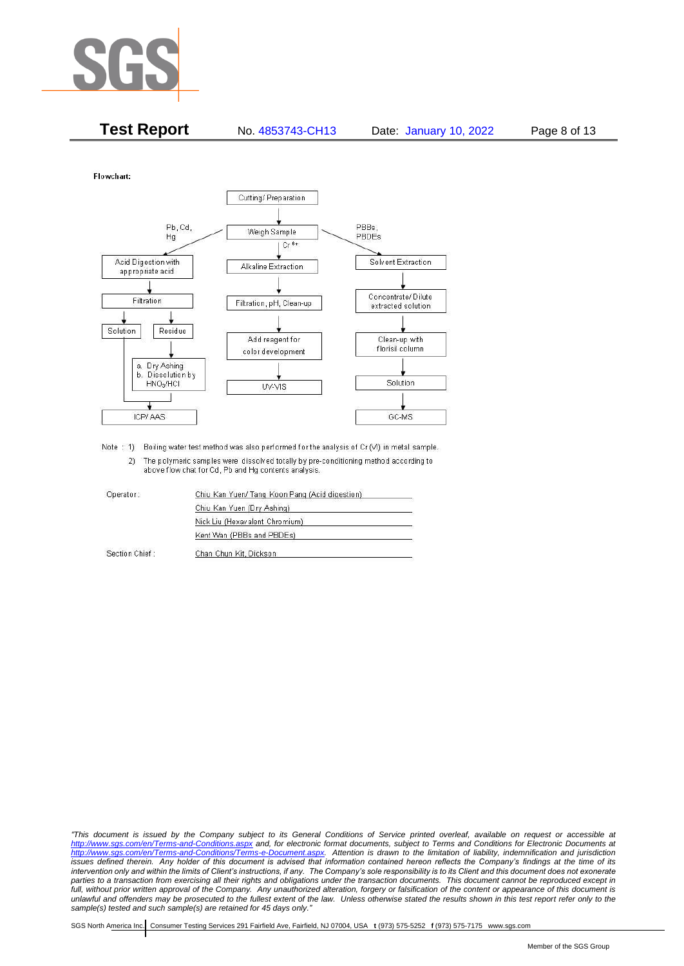

| <b>Test Report</b><br>No. 4853743-CH13 | Date: January 10, 2022 | Page 8 of 13 |
|----------------------------------------|------------------------|--------------|
|----------------------------------------|------------------------|--------------|

Flowchart:



Note : 1) Boiling water test method was also performed for the analysis of Cr (VI) in metal sample. 2) The polymeric samples were dissolved totally by pre-conditioning method according to above flow chat for Cd, Pb and Hg contents analysis

| Operator:      | Chiu Kan Yuen/ Tang Koon Pang (Acid digestion) |
|----------------|------------------------------------------------|
|                | Chiu Kan Yuen (Dry Ashing)                     |
|                | Nick Liu (Hexavalent Chromium)                 |
|                | Kent Wan (PBBs and PBDEs)                      |
| Section Chief: | Chan Chun Kit, Dickson                         |

*"This document is issued by the Company subject to its General Conditions of Service printed overleaf, available on request or accessible at <http://www.sgs.com/en/Terms-and-Conditions.aspx> and, for electronic format documents, subject to Terms and Conditions for Electronic Documents at [http://www.sgs.com/en/Terms-and-Conditions/Terms-e-Document.aspx.](http://www.sgs.com/en/Terms-and-Conditions/Terms-e-Document.aspx) Attention is drawn to the limitation of liability, indemnification and jurisdiction issues defined therein. Any holder of this document is advised that information contained hereon reflects the Company's findings at the time of its intervention only and within the limits of Client's instructions, if any. The Company's sole responsibility is to its Client and this document does not exonerate*  parties to a transaction from exercising all their rights and obligations under the transaction documents. This document cannot be reproduced except in *full, without prior written approval of the Company. Any unauthorized alteration, forgery or falsification of the content or appearance of this document is unlawful and offenders may be prosecuted to the fullest extent of the law. Unless otherwise stated the results shown in this test report refer only to the sample(s) tested and such sample(s) are retained for 45 days only."*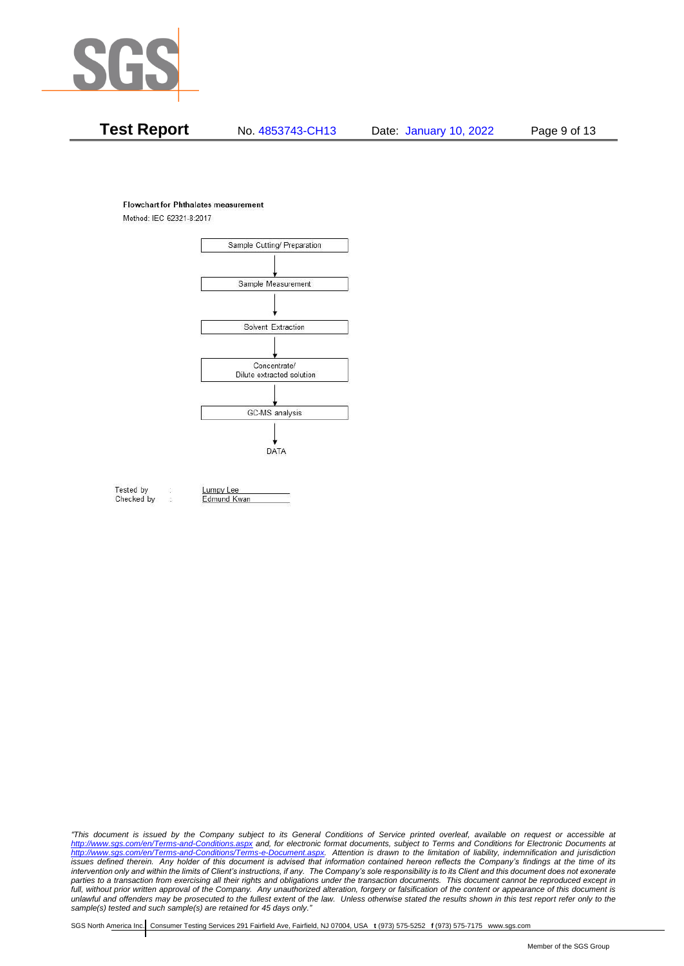

# **Test Report** No. 4853743-CH13 Date: January 10, 2022 Page 9 of 13

#### **Flowchart for Phthalates measurement**

Method: IEC 62321-8:2017



Tested by Checked by Lumpy Lee

Edmund Kwan

*"This document is issued by the Company subject to its General Conditions of Service printed overleaf, available on request or accessible at <http://www.sgs.com/en/Terms-and-Conditions.aspx> and, for electronic format documents, subject to Terms and Conditions for Electronic Documents at [http://www.sgs.com/en/Terms-and-Conditions/Terms-e-Document.aspx.](http://www.sgs.com/en/Terms-and-Conditions/Terms-e-Document.aspx) Attention is drawn to the limitation of liability, indemnification and jurisdiction issues defined therein. Any holder of this document is advised that information contained hereon reflects the Company's findings at the time of its intervention only and within the limits of Client's instructions, if any. The Company's sole responsibility is to its Client and this document does not exonerate*  parties to a transaction from exercising all their rights and obligations under the transaction documents. This document cannot be reproduced except in *full, without prior written approval of the Company. Any unauthorized alteration, forgery or falsification of the content or appearance of this document is unlawful and offenders may be prosecuted to the fullest extent of the law. Unless otherwise stated the results shown in this test report refer only to the sample(s) tested and such sample(s) are retained for 45 days only."*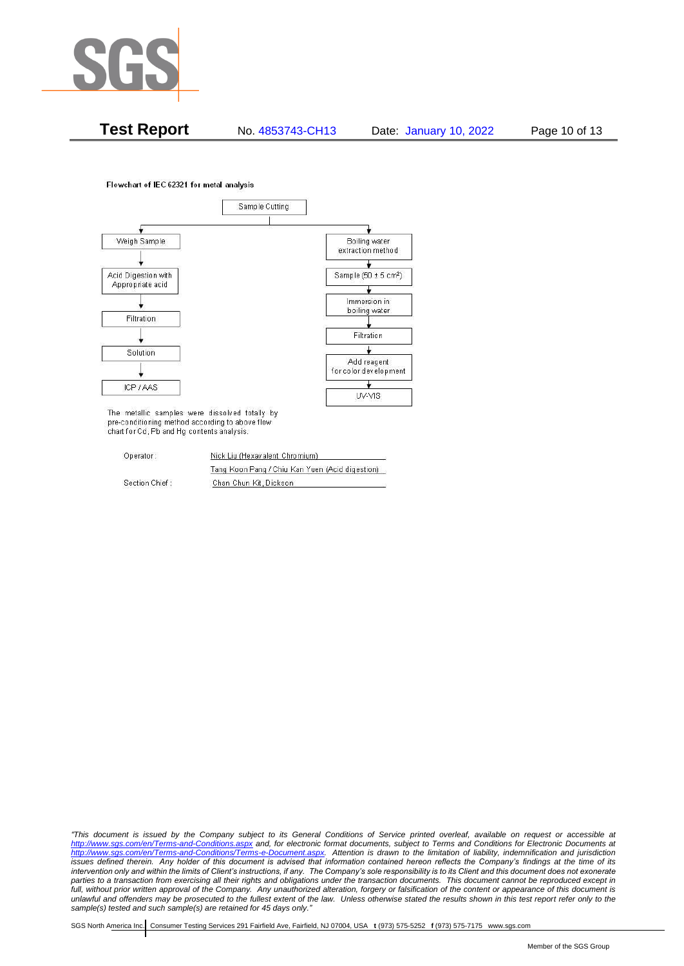

**Test Report** No. 4853743-CH13 Date: January 10, 2022 Page 10 of 13

Flowchart of IEC 62321 for metal analysis



The metallic samples were dissolved totally by pre-conditioning method according to above flow chart for Cd, Pb and Hg contents analysis.

| Operator:      | Nick Liu (Hexavalent Chromium)                  |  |
|----------------|-------------------------------------------------|--|
|                | Tang Koon Pang / Chiu Kan Yuen (Acid digestion) |  |
| Section Chief: | Chan Chun Kit, Dickson                          |  |

*"This document is issued by the Company subject to its General Conditions of Service printed overleaf, available on request or accessible at <http://www.sgs.com/en/Terms-and-Conditions.aspx> and, for electronic format documents, subject to Terms and Conditions for Electronic Documents at [http://www.sgs.com/en/Terms-and-Conditions/Terms-e-Document.aspx.](http://www.sgs.com/en/Terms-and-Conditions/Terms-e-Document.aspx) Attention is drawn to the limitation of liability, indemnification and jurisdiction issues defined therein. Any holder of this document is advised that information contained hereon reflects the Company's findings at the time of its intervention only and within the limits of Client's instructions, if any. The Company's sole responsibility is to its Client and this document does not exonerate*  parties to a transaction from exercising all their rights and obligations under the transaction documents. This document cannot be reproduced except in *full, without prior written approval of the Company. Any unauthorized alteration, forgery or falsification of the content or appearance of this document is unlawful and offenders may be prosecuted to the fullest extent of the law. Unless otherwise stated the results shown in this test report refer only to the sample(s) tested and such sample(s) are retained for 45 days only."*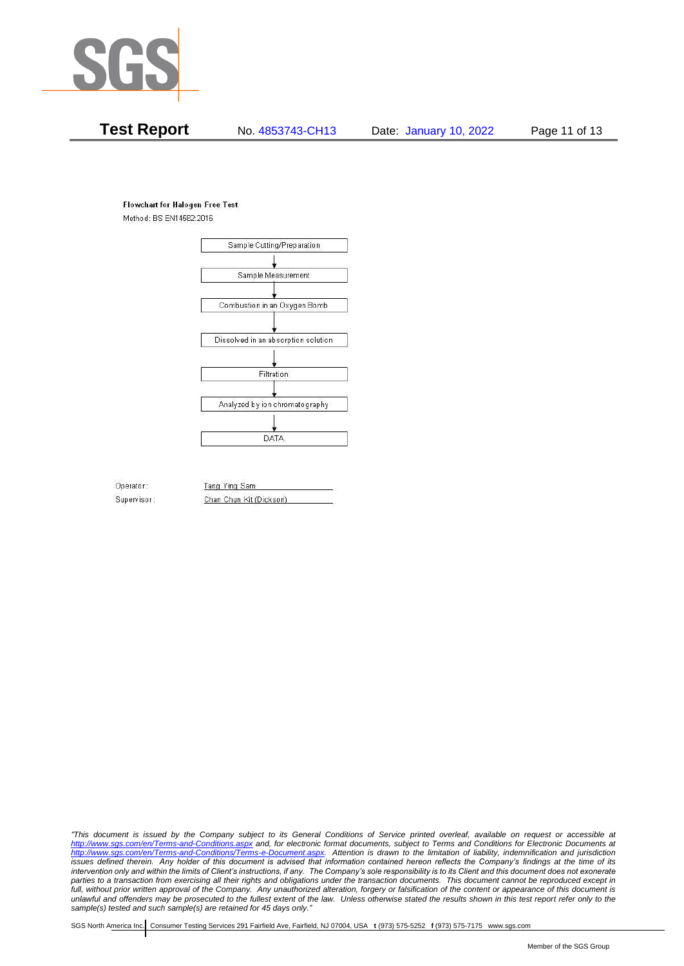

# **Test Report** No. 4853743-CH13 Date: January 10, 2022 Page 11 of 13

#### **Flowchart for Halogen Free Test**

Method: BS EN14582:2016



Operator: Supervisor: Tang Ying Sam Chan Chun Kit (Dickson)

*"This document is issued by the Company subject to its General Conditions of Service printed overleaf, available on request or accessible at <http://www.sgs.com/en/Terms-and-Conditions.aspx> and, for electronic format documents, subject to Terms and Conditions for Electronic Documents at [http://www.sgs.com/en/Terms-and-Conditions/Terms-e-Document.aspx.](http://www.sgs.com/en/Terms-and-Conditions/Terms-e-Document.aspx) Attention is drawn to the limitation of liability, indemnification and jurisdiction issues defined therein. Any holder of this document is advised that information contained hereon reflects the Company's findings at the time of its intervention only and within the limits of Client's instructions, if any. The Company's sole responsibility is to its Client and this document does not exonerate*  parties to a transaction from exercising all their rights and obligations under the transaction documents. This document cannot be reproduced except in *full, without prior written approval of the Company. Any unauthorized alteration, forgery or falsification of the content or appearance of this document is unlawful and offenders may be prosecuted to the fullest extent of the law. Unless otherwise stated the results shown in this test report refer only to the sample(s) tested and such sample(s) are retained for 45 days only."*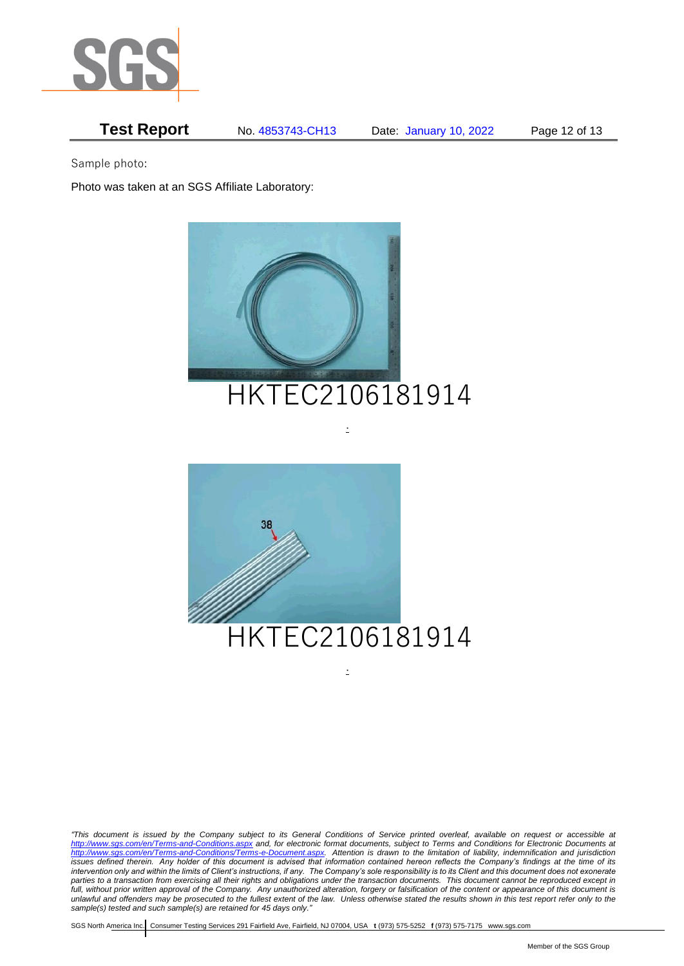

# **Test Report** No. 4853743-CH13 Date: January 10, 2022 Page 12 of 13

Sample photo:

Photo was taken at an SGS Affiliate Laboratory:



# HKTEC2106181914

.



*"This document is issued by the Company subject to its General Conditions of Service printed overleaf, available on request or accessible at <http://www.sgs.com/en/Terms-and-Conditions.aspx> and, for electronic format documents, subject to Terms and Conditions for Electronic Documents at [http://www.sgs.com/en/Terms-and-Conditions/Terms-e-Document.aspx.](http://www.sgs.com/en/Terms-and-Conditions/Terms-e-Document.aspx) Attention is drawn to the limitation of liability, indemnification and jurisdiction issues defined therein. Any holder of this document is advised that information contained hereon reflects the Company's findings at the time of its intervention only and within the limits of Client's instructions, if any. The Company's sole responsibility is to its Client and this document does not exonerate*  parties to a transaction from exercising all their rights and obligations under the transaction documents. This document cannot be reproduced except in *full, without prior written approval of the Company. Any unauthorized alteration, forgery or falsification of the content or appearance of this document is unlawful and offenders may be prosecuted to the fullest extent of the law. Unless otherwise stated the results shown in this test report refer only to the sample(s) tested and such sample(s) are retained for 45 days only."* 

.